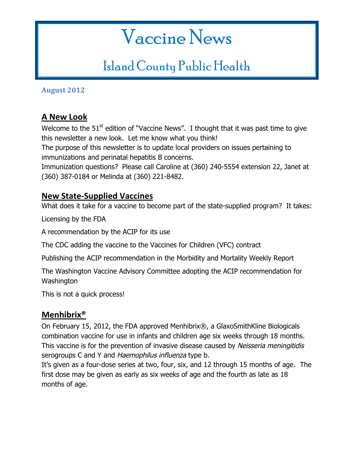# Vaccine News

# Island County Public Health

**August 2012**

# **A New Look**

Welcome to the  $51<sup>st</sup>$  edition of "Vaccine News". I thought that it was past time to give this newsletter a new look. Let me know what you think!

The purpose of this newsletter is to update local providers on issues pertaining to immunizations and perinatal hepatitis B concerns.

Immunization questions? Please call Caroline at (360) 240-5554 extension 22, Janet at (360) 387-0184 or Melinda at (360) 221-8482.

#### **New State-Supplied Vaccines**

What does it take for a vaccine to become part of the state-supplied program? It takes:

Licensing by the FDA

A recommendation by the ACIP for its use

The CDC adding the vaccine to the Vaccines for Children (VFC) contract

Publishing the ACIP recommendation in the Morbidity and Mortality Weekly Report

The Washington Vaccine Advisory Committee adopting the ACIP recommendation for **Washington** 

This is not a quick process!

#### **Menhibrix®**

On February 15, 2012, the FDA approved Menhibrix®, a GlaxoSmithKline Biologicals combination vaccine for use in infants and children age six weeks through 18 months. This vaccine is for the prevention of invasive disease caused by Neisseria meningitidis serogroups C and Y and Haemophilus influenza type b.

It's given as a four-dose series at two, four, six, and 12 through 15 months of age. The first dose may be given as early as six weeks of age and the fourth as late as 18 months of age.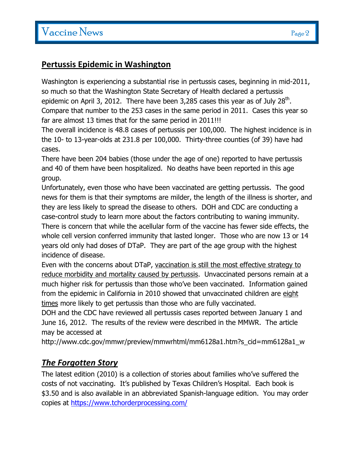#### **Pertussis Epidemic in Washington**

Washington is experiencing a substantial rise in pertussis cases, beginning in mid-2011, so much so that the Washington State Secretary of Health declared a pertussis epidemic on April 3, 2012. There have been 3,285 cases this year as of July 28<sup>th</sup>. Compare that number to the 253 cases in the same period in 2011. Cases this year so far are almost 13 times that for the same period in 2011!!!

The overall incidence is 48.8 cases of pertussis per 100,000. The highest incidence is in the 10- to 13-year-olds at 231.8 per 100,000. Thirty-three counties (of 39) have had cases.

There have been 204 babies (those under the age of one) reported to have pertussis and 40 of them have been hospitalized. No deaths have been reported in this age group.

Unfortunately, even those who have been vaccinated are getting pertussis. The good news for them is that their symptoms are milder, the length of the illness is shorter, and they are less likely to spread the disease to others. DOH and CDC are conducting a case-control study to learn more about the factors contributing to waning immunity. There is concern that while the acellular form of the vaccine has fewer side effects, the whole cell version conferred immunity that lasted longer. Those who are now 13 or 14 years old only had doses of DTaP. They are part of the age group with the highest incidence of disease.

Even with the concerns about DTaP, vaccination is still the most effective strategy to reduce morbidity and mortality caused by pertussis. Unvaccinated persons remain at a much higher risk for pertussis than those who've been vaccinated. Information gained from the epidemic in California in 2010 showed that unvaccinated children are eight times more likely to get pertussis than those who are fully vaccinated.

DOH and the CDC have reviewed all pertussis cases reported between January 1 and June 16, 2012. The results of the review were described in the MMWR. The article may be accessed at

http://www.cdc.gov/mmwr/preview/mmwrhtml/mm6128a1.htm?s\_cid=mm6128a1\_w

#### *The Forgotten Story*

The latest edition (2010) is a collection of stories about families who've suffered the costs of not vaccinating. It's published by Texas Children's Hospital. Each book is \$3.50 and is also available in an abbreviated Spanish-language edition. You may order copies at https://www.tchorderprocessing.com/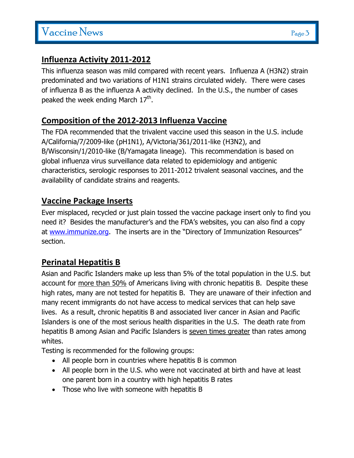#### **Influenza Activity 2011-2012**

This influenza season was mild compared with recent years. Influenza A (H3N2) strain predominated and two variations of H1N1 strains circulated widely. There were cases of influenza B as the influenza A activity declined. In the U.S., the number of cases peaked the week ending March  $17^{\text{th}}$ .

# **Composition of the 2012-2013 Influenza Vaccine**

The FDA recommended that the trivalent vaccine used this season in the U.S. include A/California/7/2009-like (pH1N1), A/Victoria/361/2011-like (H3N2), and B/Wisconsin/1/2010-like (B/Yamagata lineage). This recommendation is based on global influenza virus surveillance data related to epidemiology and antigenic characteristics, serologic responses to 2011-2012 trivalent seasonal vaccines, and the availability of candidate strains and reagents.

### **Vaccine Package Inserts**

Ever misplaced, recycled or just plain tossed the vaccine package insert only to find you need it? Besides the manufacturer's and the FDA's websites, you can also find a copy at www.immunize.org. The inserts are in the "Directory of Immunization Resources" section.

# **Perinatal Hepatitis B**

Asian and Pacific Islanders make up less than 5% of the total population in the U.S. but account for more than 50% of Americans living with chronic hepatitis B. Despite these high rates, many are not tested for hepatitis B. They are unaware of their infection and many recent immigrants do not have access to medical services that can help save lives. As a result, chronic hepatitis B and associated liver cancer in Asian and Pacific Islanders is one of the most serious health disparities in the U.S. The death rate from hepatitis B among Asian and Pacific Islanders is seven times greater than rates among whites.

Testing is recommended for the following groups:

- All people born in countries where hepatitis B is common
- All people born in the U.S. who were not vaccinated at birth and have at least one parent born in a country with high hepatitis B rates
- Those who live with someone with hepatitis B